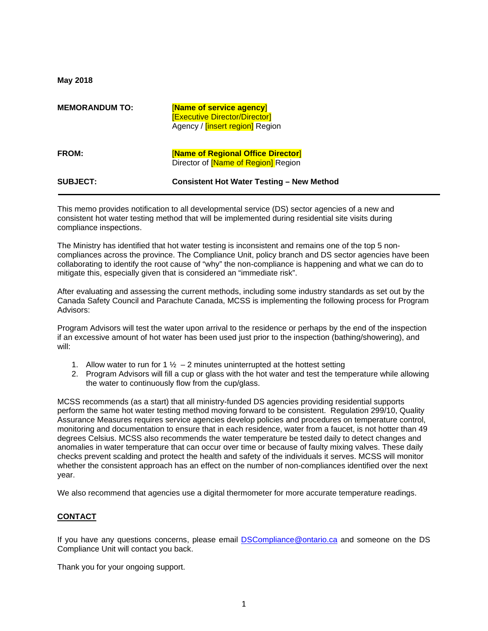**May 2018**

| <b>MEMORANDUM TO:</b> | [Name of service agency]<br><b>[Executive Director/Director]</b><br>Agency / <i>[insert region]</i> Region |
|-----------------------|------------------------------------------------------------------------------------------------------------|
| <b>FROM:</b>          | [Name of Regional Office Director]<br>Director of <b>Name of Region</b> Region                             |
| <b>SUBJECT:</b>       | <b>Consistent Hot Water Testing - New Method</b>                                                           |

This memo provides notification to all developmental service (DS) sector agencies of a new and consistent hot water testing method that will be implemented during residential site visits during compliance inspections.

The Ministry has identified that hot water testing is inconsistent and remains one of the top 5 noncompliances across the province. The Compliance Unit, policy branch and DS sector agencies have been collaborating to identify the root cause of "why" the non-compliance is happening and what we can do to mitigate this, especially given that is considered an "immediate risk".

After evaluating and assessing the current methods, including some industry standards as set out by the Canada Safety Council and Parachute Canada, MCSS is implementing the following process for Program Advisors:

Program Advisors will test the water upon arrival to the residence or perhaps by the end of the inspection if an excessive amount of hot water has been used just prior to the inspection (bathing/showering), and will:

- 1. Allow water to run for 1  $\frac{1}{2}$  2 minutes uninterrupted at the hottest setting
- 2. Program Advisors will fill a cup or glass with the hot water and test the temperature while allowing the water to continuously flow from the cup/glass.

MCSS recommends (as a start) that all ministry-funded DS agencies providing residential supports perform the same hot water testing method moving forward to be consistent. Regulation 299/10, Quality Assurance Measures requires service agencies develop policies and procedures on temperature control, monitoring and documentation to ensure that in each residence, water from a faucet, is not hotter than 49 degrees Celsius. MCSS also recommends the water temperature be tested daily to detect changes and anomalies in water temperature that can occur over time or because of faulty mixing valves. These daily checks prevent scalding and protect the health and safety of the individuals it serves. MCSS will monitor whether the consistent approach has an effect on the number of non-compliances identified over the next year.

We also recommend that agencies use a digital thermometer for more accurate temperature readings.

## **CONTACT**

If you have any questions concerns, please email [DSCompliance@ontario.ca](mailto:DSCompliance@ontario.ca) and someone on the DS Compliance Unit will contact you back.

Thank you for your ongoing support.